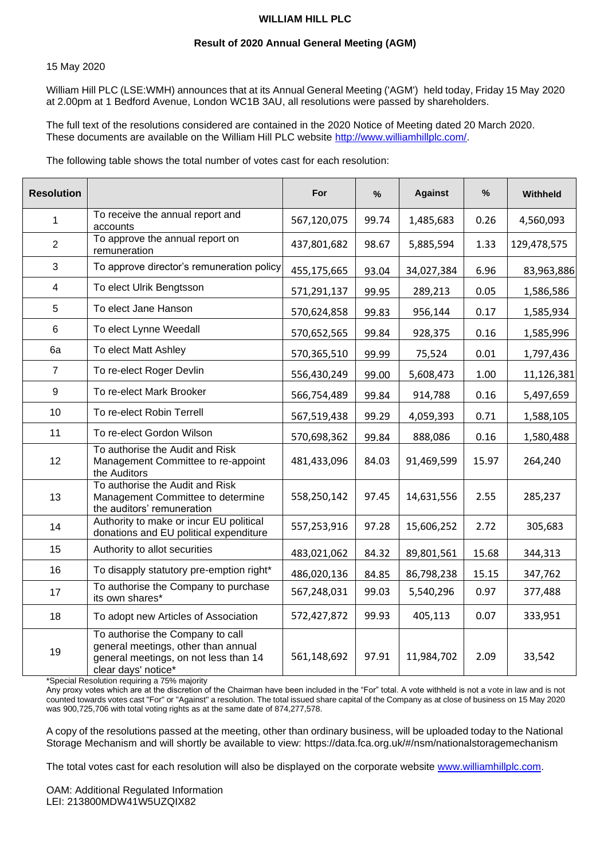# **WILLIAM HILL PLC**

### **Result of 2020 Annual General Meeting (AGM)**

#### 15 May 2020

William Hill PLC (LSE:WMH) announces that at its Annual General Meeting ('AGM') held today, Friday 15 May 2020 at 2.00pm at 1 Bedford Avenue, London WC1B 3AU, all resolutions were passed by shareholders.

The full text of the resolutions considered are contained in the 2020 Notice of Meeting dated 20 March 2020. These documents are available on the William Hill PLC website [http://www.williamhillplc.com/.](http://www.williamhillplc.com/)

The following table shows the total number of votes cast for each resolution:

| <b>Resolution</b> |                                                                                                                                         | For         | %     | <b>Against</b> | $\%$  | Withheld    |
|-------------------|-----------------------------------------------------------------------------------------------------------------------------------------|-------------|-------|----------------|-------|-------------|
| $\mathbf 1$       | To receive the annual report and<br>accounts                                                                                            | 567,120,075 | 99.74 | 1,485,683      | 0.26  | 4,560,093   |
| 2                 | To approve the annual report on<br>remuneration                                                                                         | 437,801,682 | 98.67 | 5,885,594      | 1.33  | 129,478,575 |
| 3                 | To approve director's remuneration policy                                                                                               | 455,175,665 | 93.04 | 34,027,384     | 6.96  | 83,963,886  |
| 4                 | To elect Ulrik Bengtsson                                                                                                                | 571,291,137 | 99.95 | 289,213        | 0.05  | 1,586,586   |
| 5                 | To elect Jane Hanson                                                                                                                    | 570,624,858 | 99.83 | 956,144        | 0.17  | 1,585,934   |
| 6                 | To elect Lynne Weedall                                                                                                                  | 570,652,565 | 99.84 | 928,375        | 0.16  | 1,585,996   |
| 6a                | To elect Matt Ashley                                                                                                                    | 570,365,510 | 99.99 | 75,524         | 0.01  | 1,797,436   |
| $\overline{7}$    | To re-elect Roger Devlin                                                                                                                | 556,430,249 | 99.00 | 5,608,473      | 1.00  | 11,126,381  |
| $9\,$             | To re-elect Mark Brooker                                                                                                                | 566,754,489 | 99.84 | 914,788        | 0.16  | 5,497,659   |
| 10                | To re-elect Robin Terrell                                                                                                               | 567,519,438 | 99.29 | 4,059,393      | 0.71  | 1,588,105   |
| 11                | To re-elect Gordon Wilson                                                                                                               | 570,698,362 | 99.84 | 888,086        | 0.16  | 1,580,488   |
| 12                | To authorise the Audit and Risk<br>Management Committee to re-appoint<br>the Auditors                                                   | 481,433,096 | 84.03 | 91,469,599     | 15.97 | 264,240     |
| 13                | To authorise the Audit and Risk<br>Management Committee to determine<br>the auditors' remuneration                                      | 558,250,142 | 97.45 | 14,631,556     | 2.55  | 285,237     |
| 14                | Authority to make or incur EU political<br>donations and EU political expenditure                                                       | 557,253,916 | 97.28 | 15,606,252     | 2.72  | 305,683     |
| 15                | Authority to allot securities                                                                                                           | 483,021,062 | 84.32 | 89,801,561     | 15.68 | 344,313     |
| 16                | To disapply statutory pre-emption right*                                                                                                | 486,020,136 | 84.85 | 86,798,238     | 15.15 | 347,762     |
| 17                | To authorise the Company to purchase<br>its own shares*                                                                                 | 567,248,031 | 99.03 | 5,540,296      | 0.97  | 377,488     |
| 18                | To adopt new Articles of Association                                                                                                    | 572,427,872 | 99.93 | 405,113        | 0.07  | 333,951     |
| 19                | To authorise the Company to call<br>general meetings, other than annual<br>general meetings, on not less than 14<br>clear days' notice* | 561,148,692 | 97.91 | 11,984,702     | 2.09  | 33,542      |

\*Special Resolution requiring a 75% majority

Any proxy votes which are at the discretion of the Chairman have been included in the "For" total. A vote withheld is not a vote in law and is not counted towards votes cast "For" or "Against" a resolution. The total issued share capital of the Company as at close of business on 15 May 2020 was 900,725,706 with total voting rights as at the same date of 874,277,578.

A copy of the resolutions passed at the meeting, other than ordinary business, will be uploaded today to the National Storage Mechanism and will shortly be available to view:<https://data.fca.org.uk/#/nsm/nationalstoragemechanism>

The total votes cast for each resolution will also be displayed on the corporate website [www.williamhillplc.com.](http://www.williamhillplc.com/)

OAM: Additional Regulated Information LEI: 213800MDW41W5UZQIX82